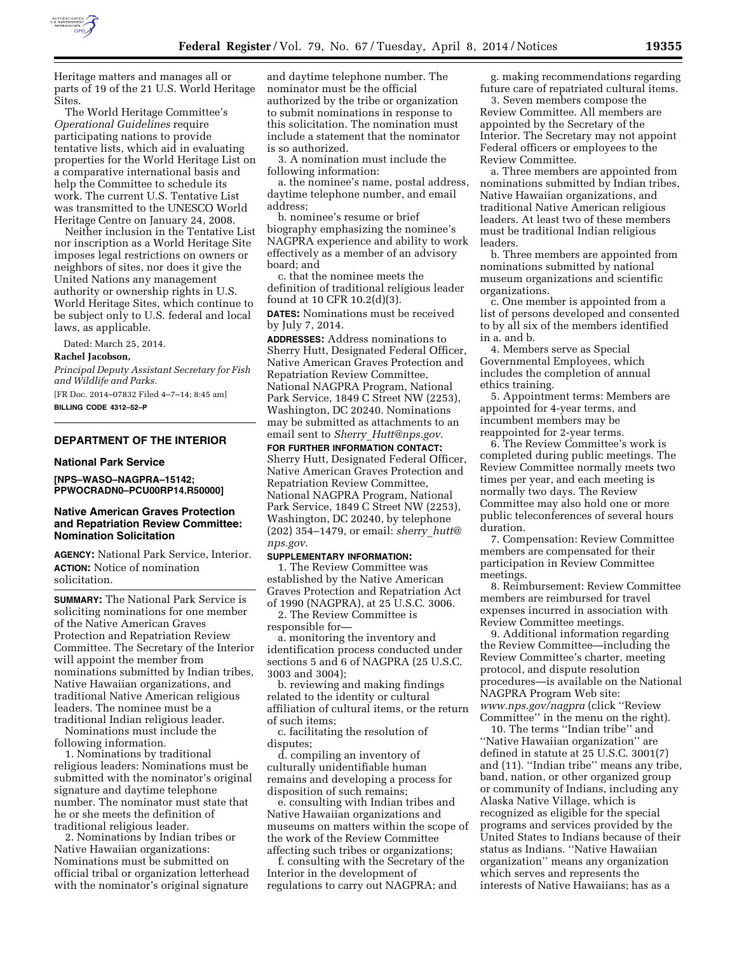

Heritage matters and manages all or parts of 19 of the 21 U.S. World Heritage Sites.

The World Heritage Committee's *Operational Guidelines* require participating nations to provide tentative lists, which aid in evaluating properties for the World Heritage List on a comparative international basis and help the Committee to schedule its work. The current U.S. Tentative List was transmitted to the UNESCO World Heritage Centre on January 24, 2008.

Neither inclusion in the Tentative List nor inscription as a World Heritage Site imposes legal restrictions on owners or neighbors of sites, nor does it give the United Nations any management authority or ownership rights in U.S. World Heritage Sites, which continue to be subject only to U.S. federal and local laws, as applicable.

Dated: March 25, 2014.

### **Rachel Jacobson,**

*Principal Deputy Assistant Secretary for Fish and Wildlife and Parks.* 

[FR Doc. 2014–07832 Filed 4–7–14; 8:45 am] **BILLING CODE 4312–52–P** 

#### **DEPARTMENT OF THE INTERIOR**

#### **National Park Service**

**[NPS–WASO–NAGPRA–15142; PPWOCRADN0–PCU00RP14.R50000]** 

# **Native American Graves Protection and Repatriation Review Committee: Nomination Solicitation**

**AGENCY:** National Park Service, Interior. **ACTION:** Notice of nomination solicitation.

**SUMMARY:** The National Park Service is soliciting nominations for one member of the Native American Graves Protection and Repatriation Review Committee. The Secretary of the Interior will appoint the member from nominations submitted by Indian tribes, Native Hawaiian organizations, and traditional Native American religious leaders. The nominee must be a traditional Indian religious leader.

Nominations must include the following information.

1. Nominations by traditional religious leaders: Nominations must be submitted with the nominator's original signature and daytime telephone number. The nominator must state that he or she meets the definition of traditional religious leader.

2. Nominations by Indian tribes or Native Hawaiian organizations: Nominations must be submitted on official tribal or organization letterhead with the nominator's original signature

and daytime telephone number. The nominator must be the official authorized by the tribe or organization to submit nominations in response to this solicitation. The nomination must include a statement that the nominator is so authorized.

3. A nomination must include the following information:

a. the nominee's name, postal address, daytime telephone number, and email address;

b. nominee's resume or brief biography emphasizing the nominee's NAGPRA experience and ability to work effectively as a member of an advisory board; and

c. that the nominee meets the definition of traditional religious leader found at 10 CFR 10.2(d)(3).

**DATES:** Nominations must be received by July 7, 2014.

**ADDRESSES:** Address nominations to Sherry Hutt, Designated Federal Officer, Native American Graves Protection and Repatriation Review Committee, National NAGPRA Program, National Park Service, 1849 C Street NW (2253), Washington, DC 20240. Nominations may be submitted as attachments to an email sent to *Sherry*\_*[Hutt@nps.gov](mailto:Sherry_Hutt@nps.gov)*.

**FOR FURTHER INFORMATION CONTACT:**  Sherry Hutt, Designated Federal Officer, Native American Graves Protection and Repatriation Review Committee, National NAGPRA Program, National Park Service, 1849 C Street NW (2253), Washington, DC 20240, by telephone (202) 354–1479, or email: *[sherry](mailto:sherry_hutt@nps.gov)*\_*hutt@ [nps.gov](mailto:sherry_hutt@nps.gov)*.

### **SUPPLEMENTARY INFORMATION:**

1. The Review Committee was established by the Native American Graves Protection and Repatriation Act of 1990 (NAGPRA), at 25 U.S.C. 3006.

2. The Review Committee is responsible for—

a. monitoring the inventory and identification process conducted under sections 5 and 6 of NAGPRA (25 U.S.C. 3003 and 3004);

b. reviewing and making findings related to the identity or cultural affiliation of cultural items, or the return of such items;

c. facilitating the resolution of disputes;

d. compiling an inventory of culturally unidentifiable human remains and developing a process for disposition of such remains;

e. consulting with Indian tribes and Native Hawaiian organizations and museums on matters within the scope of the work of the Review Committee affecting such tribes or organizations;

f. consulting with the Secretary of the Interior in the development of regulations to carry out NAGPRA; and

g. making recommendations regarding future care of repatriated cultural items.

3. Seven members compose the Review Committee. All members are appointed by the Secretary of the Interior. The Secretary may not appoint Federal officers or employees to the Review Committee.

a. Three members are appointed from nominations submitted by Indian tribes, Native Hawaiian organizations, and traditional Native American religious leaders. At least two of these members must be traditional Indian religious leaders.

b. Three members are appointed from nominations submitted by national museum organizations and scientific organizations.

c. One member is appointed from a list of persons developed and consented to by all six of the members identified in a. and b.

4. Members serve as Special Governmental Employees, which includes the completion of annual ethics training.

5. Appointment terms: Members are appointed for 4-year terms, and incumbent members may be reappointed for 2-year terms.

6. The Review Committee's work is completed during public meetings. The Review Committee normally meets two times per year, and each meeting is normally two days. The Review Committee may also hold one or more public teleconferences of several hours duration.

7. Compensation: Review Committee members are compensated for their participation in Review Committee meetings.

8. Reimbursement: Review Committee members are reimbursed for travel expenses incurred in association with Review Committee meetings.

9. Additional information regarding the Review Committee—including the Review Committee's charter, meeting protocol, and dispute resolution procedures—is available on the National NAGPRA Program Web site: *[www.nps.gov/nagpra](http://www.nps.gov/nagpra)* (click ''Review Committee'' in the menu on the right).

10. The terms ''Indian tribe'' and ''Native Hawaiian organization'' are defined in statute at 25 U.S.C. 3001(7) and (11). ''Indian tribe'' means any tribe, band, nation, or other organized group or community of Indians, including any Alaska Native Village, which is recognized as eligible for the special programs and services provided by the United States to Indians because of their status as Indians. ''Native Hawaiian organization'' means any organization which serves and represents the interests of Native Hawaiians; has as a